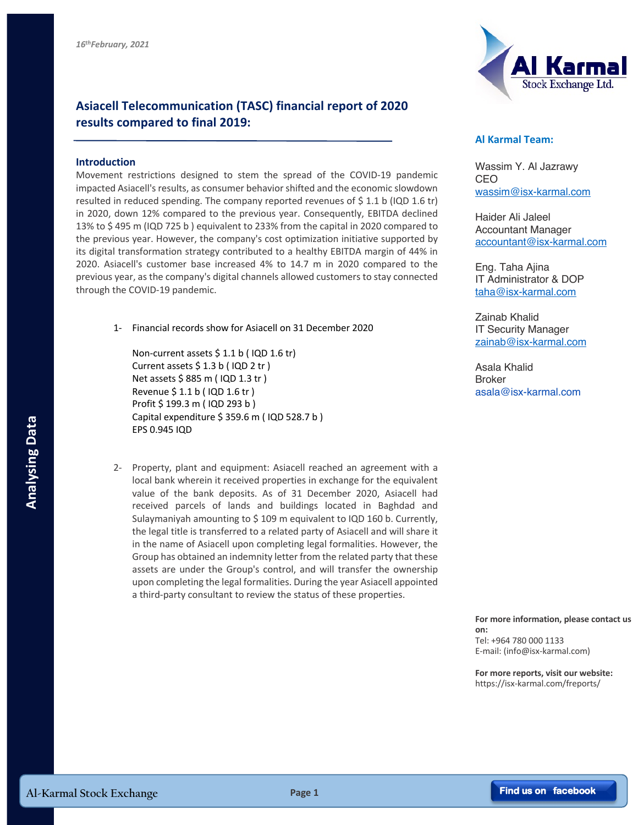

## **Asiacell Telecommunication (TASC) financial report of 2020 results compared to final 2019:**

## **Introduction**

Movement restrictions designed to stem the spread of the COVID-19 pandemic impacted Asiacell's results, as consumer behavior shifted and the economic slowdown resulted in reduced spending. The company reported revenues of  $$ 1.1 b$  (IQD 1.6 tr) in 2020, down 12% compared to the previous year. Consequently, EBITDA declined 13% to \$ 495 m (IQD 725 b ) equivalent to 233% from the capital in 2020 compared to the previous year. However, the company's cost optimization initiative supported by its digital transformation strategy contributed to a healthy EBITDA margin of 44% in 2020. Asiacell's customer base increased 4% to 14.7 m in 2020 compared to the previous year, as the company's digital channels allowed customers to stay connected through the COVID-19 pandemic.

1- Financial records show for Asiacell on 31 December 2020

Non-current assets \$ 1.1 b ( IQD 1.6 tr) Current assets \$ 1.3 b ( IQD 2 tr ) Net assets \$ 885 m ( IQD 1.3 tr ) Revenue \$ 1.1 b ( IQD 1.6 tr ) Profit \$ 199.3 m ( IQD 293 b ) Capital expenditure \$ 359.6 m ( IQD 528.7 b ) EPS 0.945 IQD

2- Property, plant and equipment: Asiacell reached an agreement with a local bank wherein it received properties in exchange for the equivalent value of the bank deposits. As of 31 December 2020, Asiacell had received parcels of lands and buildings located in Baghdad and Sulaymaniyah amounting to \$ 109 m equivalent to IQD 160 b. Currently, the legal title is transferred to a related party of Asiacell and will share it in the name of Asiacell upon completing legal formalities. However, the Group has obtained an indemnity letter from the related party that these assets are under the Group's control, and will transfer the ownership upon completing the legal formalities. During the year Asiacell appointed a third-party consultant to review the status of these properties. **Al-Karmal Stock Exchange**<br> **Al-Karmal Stock Exchange**<br> **Al-Karmal Stock Exchange**<br> **Al-Karmal Stock Exchange**<br> **Al-Karmal Stock Exchange**<br> **Al-Karmal Stock Exchange**<br> **Page 1 Page 1 Page 1 Page 1 Page 1 Allows**

## **Al Karmal Team:**

Wassim Y. Al Jazrawy CEO wassim@isx-karmal.com

Haider Ali Jaleel Accountant Manager accountant@isx-karmal.com

Eng. Taha Ajina IT Administrator & DOP taha@isx-karmal.com

Zainab Khalid IT Security Manager zainab@isx-karmal.com

Asala Khalid Broker asala@isx-karmal.com

## **For more information, please contact us on:**

Tel: +964 780 000 1133 E-mail: (info@isx-karmal.com)

**For more reports, visit our website:** https://isx-karmal.com/freports/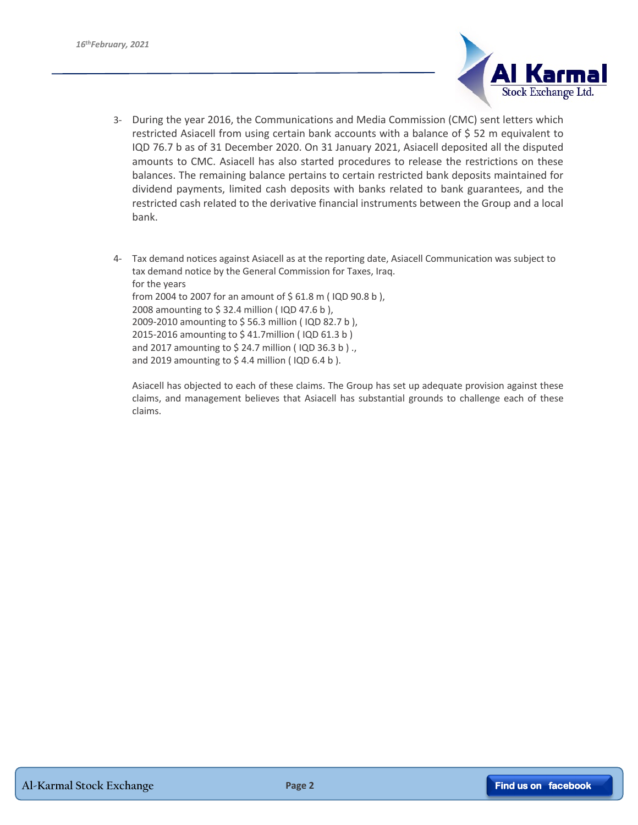

- 3- During the year 2016, the Communications and Media Commission (CMC) sent letters which restricted Asiacell from using certain bank accounts with a balance of \$ 52 m equivalent to IQD 76.7 b as of 31 December 2020. On 31 January 2021, Asiacell deposited all the disputed amounts to CMC. Asiacell has also started procedures to release the restrictions on these balances. The remaining balance pertains to certain restricted bank deposits maintained for dividend payments, limited cash deposits with banks related to bank guarantees, and the restricted cash related to the derivative financial instruments between the Group and a local bank.
- 4- Tax demand notices against Asiacell as at the reporting date, Asiacell Communication was subject to tax demand notice by the General Commission for Taxes, Iraq. for the years from 2004 to 2007 for an amount of \$ 61.8 m ( IQD 90.8 b ), 2008 amounting to \$ 32.4 million ( IQD 47.6 b ), 2009-2010 amounting to \$ 56.3 million ( IQD 82.7 b ), 2015-2016 amounting to \$ 41.7million ( IQD 61.3 b ) and 2017 amounting to \$ 24.7 million ( IQD 36.3 b ) ., and 2019 amounting to \$4.4 million (IQD 6.4 b).

Asiacell has objected to each of these claims. The Group has set up adequate provision against these claims, and management believes that Asiacell has substantial grounds to challenge each of these claims.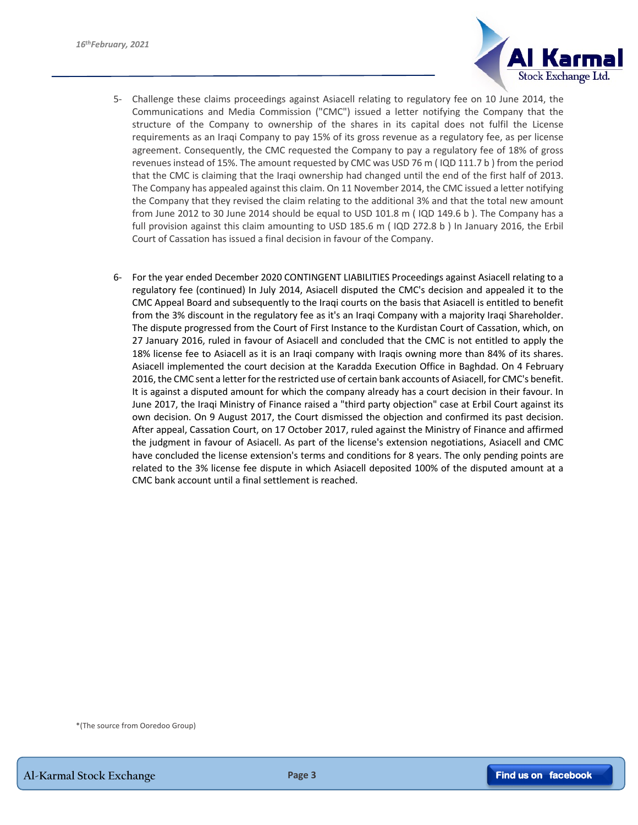

- 5- Challenge these claims proceedings against Asiacell relating to regulatory fee on 10 June 2014, the Communications and Media Commission ("CMC") issued a letter notifying the Company that the structure of the Company to ownership of the shares in its capital does not fulfil the License requirements as an Iraqi Company to pay 15% of its gross revenue as a regulatory fee, as per license agreement. Consequently, the CMC requested the Company to pay a regulatory fee of 18% of gross revenues instead of 15%. The amount requested by CMC was USD 76 m ( IQD 111.7 b ) from the period that the CMC is claiming that the Iraqi ownership had changed until the end of the first half of 2013. The Company has appealed against this claim. On 11 November 2014, the CMC issued a letter notifying the Company that they revised the claim relating to the additional 3% and that the total new amount from June 2012 to 30 June 2014 should be equal to USD 101.8 m ( IQD 149.6 b ). The Company has a full provision against this claim amounting to USD 185.6 m (IQD 272.8 b) In January 2016, the Erbil Court of Cassation has issued a final decision in favour of the Company.
- 6- For the year ended December 2020 CONTINGENT LIABILITIES Proceedings against Asiacell relating to a regulatory fee (continued) In July 2014, Asiacell disputed the CMC's decision and appealed it to the CMC Appeal Board and subsequently to the Iraqi courts on the basis that Asiacell is entitled to benefit from the 3% discount in the regulatory fee as it's an Iraqi Company with a majority Iraqi Shareholder. The dispute progressed from the Court of First Instance to the Kurdistan Court of Cassation, which, on 27 January 2016, ruled in favour of Asiacell and concluded that the CMC is not entitled to apply the 18% license fee to Asiacell as it is an Iraqi company with Iraqis owning more than 84% of its shares. Asiacell implemented the court decision at the Karadda Execution Office in Baghdad. On 4 February 2016, the CMC sent a letter for the restricted use of certain bank accounts of Asiacell, for CMC's benefit. It is against a disputed amount for which the company already has a court decision in their favour. In June 2017, the Iraqi Ministry of Finance raised a "third party objection" case at Erbil Court against its own decision. On 9 August 2017, the Court dismissed the objection and confirmed its past decision. After appeal, Cassation Court, on 17 October 2017, ruled against the Ministry of Finance and affirmed the judgment in favour of Asiacell. As part of the license's extension negotiations, Asiacell and CMC have concluded the license extension's terms and conditions for 8 years. The only pending points are related to the 3% license fee dispute in which Asiacell deposited 100% of the disputed amount at a CMC bank account until a final settlement is reached.

\*(The source from Ooredoo Group)